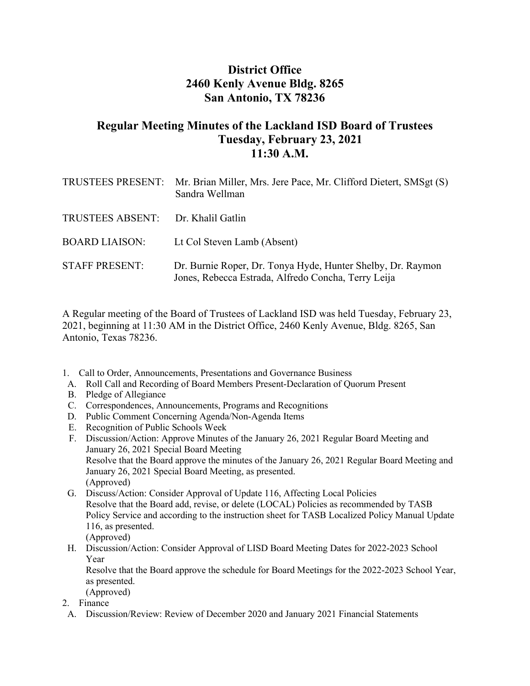## **District Office 2460 Kenly Avenue Bldg. 8265 San Antonio, TX 78236**

## **Regular Meeting Minutes of the Lackland ISD Board of Trustees Tuesday, February 23, 2021 11:30 A.M.**

|                         | TRUSTEES PRESENT: Mr. Brian Miller, Mrs. Jere Pace, Mr. Clifford Dietert, SMSgt (S)<br>Sandra Wellman              |
|-------------------------|--------------------------------------------------------------------------------------------------------------------|
| <b>TRUSTEES ABSENT:</b> | Dr. Khalil Gatlin                                                                                                  |
| <b>BOARD LIAISON:</b>   | Lt Col Steven Lamb (Absent)                                                                                        |
| <b>STAFF PRESENT:</b>   | Dr. Burnie Roper, Dr. Tonya Hyde, Hunter Shelby, Dr. Raymon<br>Jones, Rebecca Estrada, Alfredo Concha, Terry Leija |

A Regular meeting of the Board of Trustees of Lackland ISD was held Tuesday, February 23, 2021, beginning at 11:30 AM in the District Office, 2460 Kenly Avenue, Bldg. 8265, San Antonio, Texas 78236.

1. Call to Order, Announcements, Presentations and Governance Business

- A. Roll Call and Recording of Board Members Present-Declaration of Quorum Present
- B. Pledge of Allegiance
- C. Correspondences, Announcements, Programs and Recognitions
- D. Public Comment Concerning Agenda/Non-Agenda Items
- E. Recognition of Public Schools Week
- F. Discussion/Action: Approve Minutes of the January 26, 2021 Regular Board Meeting and January 26, 2021 Special Board Meeting Resolve that the Board approve the minutes of the January 26, 2021 Regular Board Meeting and January 26, 2021 Special Board Meeting, as presented. (Approved)
- G. Discuss/Action: Consider Approval of Update 116, Affecting Local Policies Resolve that the Board add, revise, or delete (LOCAL) Policies as recommended by TASB Policy Service and according to the instruction sheet for TASB Localized Policy Manual Update 116, as presented. (Approved)
- H. Discussion/Action: Consider Approval of LISD Board Meeting Dates for 2022-2023 School Year

Resolve that the Board approve the schedule for Board Meetings for the 2022-2023 School Year, as presented.

(Approved)

- 2. Finance
- A. Discussion/Review: Review of December 2020 and January 2021 Financial Statements